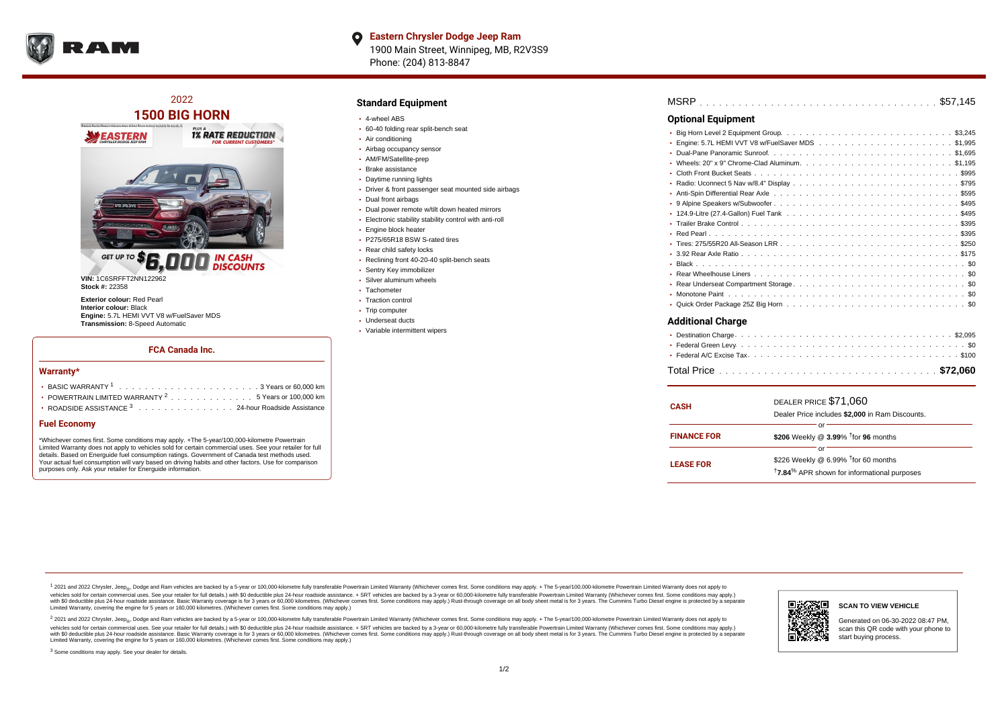

**1500 BIG HORN BALLAST ALEXANDER 1% RATE REDUCTION WEASTERN GET UP** 

2022

**DISCOUNTS** 

**VIN:** 1C6SRFFT2NN122962 **Stock #:** 22358

**Exterior colour:** Red Pearl **Interior colour:** Black **Engine:** 5.7L HEMI VVT V8 w/FuelSaver MDS **Transmission:** 8-Speed Automatic

#### **FCA Canada Inc.**

#### **Warranty\***

| $\cdot$ POWERTRAIN LIMITED WARRANTY $^2$ , , , , , , , , , , , , , , , 5 Years or 100.000 km |
|----------------------------------------------------------------------------------------------|
| • ROADSIDE ASSISTANCE $^3$ 24-hour Roadside Assistance                                       |

## **Fuel Economy**

\*Whichever comes first. Some conditions may apply. +The 5-year/100,000-kilometre Powertrain Limited Warranty does not apply to vehicles sold for certain commercial uses. See your retailer for full details. Based on Energuide fuel consumption ratings. Government of Canada test methods used. Your actual fuel consumption will vary based on driving habits and other factors. Use for comparison purposes only. Ask your retailer for Energuide information.

### **Standard Equipment**

- 4-wheel ABS
- 60-40 folding rear split-bench seat
- Air conditioning
- Airbag occupancy sensor
- AM/FM/Satellite-prep
- Brake assistance
- Daytime running lights
- Driver & front passenger seat mounted side airbags
- Dual front airbags
- Dual power remote w/tilt down heated mirrors
- Electronic stability stability control with anti-roll
- Engine block heater
- P275/65R18 BSW S-rated tires
- Rear child safety locks
- Reclining front 40-20-40 split-bench seats
- Sentry Key immobilizer
- Silver aluminum wheels
- Tachometer
- Traction control
- Trip computer Underseat ducts
- Variable intermittent wipers

| <b>Optional Equipment</b> |  |
|---------------------------|--|
|                           |  |
|                           |  |
|                           |  |
|                           |  |
|                           |  |
|                           |  |
|                           |  |
|                           |  |
|                           |  |
|                           |  |
|                           |  |
|                           |  |
|                           |  |
| ¢Λ.<br>. Plack            |  |

- . . . . . . . . . . . . . . . . . . . . . . . . . . . . . . . . . . . . . . . . . . . . . . Black \$0 . . . . . . . . . . . . . . . . . . . . . . . . . . . . . . . . . . . . . . . . . . . . . . Rear Wheelhouse Liners \$0 . . . . . . . . . . . . . . . . . . . . . . . . . . . . . . . . . . . . . . . . . . . . . . Rear Underseat Compartment Storage \$0 . . . . . . . . . . . . . . . . . . . . . . . . . . . . . . . . . . . . . . . . . . . . . . Monotone Paint \$0
- Quick Order Package 25Z Big Horn ..............................

### **Additional Charge**

| <b>CASH</b>        | DEALER PRICE \$71,060<br>Dealer Price includes \$2,000 in Ram Discounts.                                                        |  |  |  |  |  |  |  |  |
|--------------------|---------------------------------------------------------------------------------------------------------------------------------|--|--|--|--|--|--|--|--|
| <b>FINANCE FOR</b> | \$206 Weekly @ 3.99% <sup>t</sup> for 96 months                                                                                 |  |  |  |  |  |  |  |  |
| <b>LEASE FOR</b>   | Ωľ<br>\$226 Weekly @ $6.99\%$ <sup>†</sup> for 60 months<br><sup>†</sup> 7.84 <sup>%</sup> APR shown for informational purposes |  |  |  |  |  |  |  |  |

1 2021 and 2022 Chrysler, Jeep<sub>en</sub> Dodge and Ram vehicles are backed by a 5-year or 100,000-kilometre fully transferable Powertrain Limited Warranty (Whichever comes first. Some conditions may apply. + The 5-year/100,000-k rebicles sold for certain commercial uses. See your retailer for full details) with S0 deductible plus 24-hour madside assistance. + SRT vehicles are backed by a 3-year or 60.000-kilometre fully transferable Powertrain Lim ventals and contract when the contract when the contract you contract when the contract when the control of the set of a set of a set of a set of 3 years of 60,000 kilometres. Whichever comes first. Some conditions may app Limited Warranty, covering the engine for 5 years or 160,000 kilometres. (Whichever comes first. Some conditions may apply.)

<sup>2</sup> 2021 and 2022 Chrysler, Jeep<sub>a</sub>, Dodge and Ram vehicles are backed by a 5-year or 100,000-kilometre fully transferable Powertrain Limited Warranty (Whichever comes first. Some conditions may apply. + The 5-year/100,000 vehicles sold for certain commercial uses. See your retailer for full details.) with SO deductible plus 24-hour roadside assistance. + SRT vehicles are backed by a 3-year or 60.000-kilometre fully transferable Powertrain L with S0 deductible plus 24-hour roadside assistance. Basic Warranty coverage is for 3 years or 60,000 kilometres. (Whichever comes first. Some conditions may apply.) Rust-through coverage on all body sheet metal is for 3 y

<sup>3</sup> Some conditions may apply. See your dealer for details.



Generated on 06-30-2022 08:47 PM, scan this QR code with your phone to start buying process.